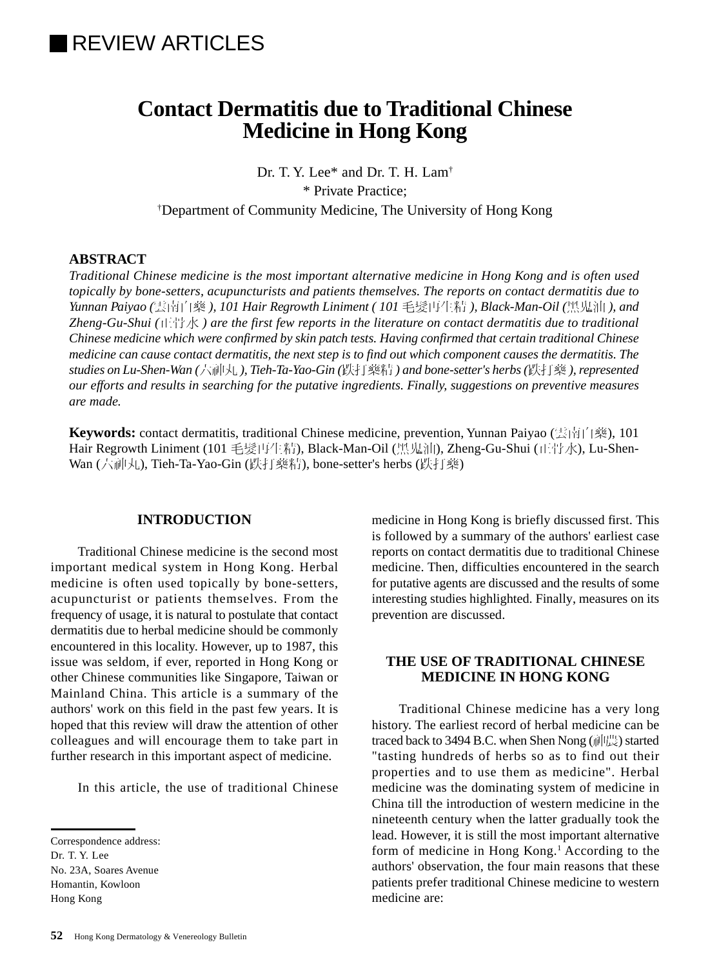# **Contact Dermatitis due to Traditional Chinese Medicine in Hong Kong**

Dr. T. Y. Lee\* and Dr. T. H. Lam† \* Private Practice; † Department of Community Medicine, The University of Hong Kong

### **ABSTRACT**

*Traditional Chinese medicine is the most important alternative medicine in Hong Kong and is often used topically by bone-setters, acupuncturists and patients themselves. The reports on contact dermatitis due to Yunnan Paiyao (*雲南白藥 *), 101 Hair Regrowth Liniment ( 101* 毛髮再生精 *), Black-Man-Oil (*黑鬼油 *), and Zheng-Gu-Shui (*正骨水 *) are the first few reports in the literature on contact dermatitis due to traditional Chinese medicine which were confirmed by skin patch tests. Having confirmed that certain traditional Chinese medicine can cause contact dermatitis, the next step is to find out which component causes the dermatitis. The studies on Lu-Shen-Wan (*六神丸 *), Tieh-Ta-Yao-Gin (*跌打藥精 *) and bone-setter's herbs (*跌打藥 *), represented our efforts and results in searching for the putative ingredients. Finally, suggestions on preventive measures are made.*

**Keywords:** contact dermatitis, traditional Chinese medicine, prevention, Yunnan Paiyao (雲南白藥), 101 Hair Regrowth Liniment (101 毛髮再生精), Black-Man-Oil (黑鬼油), Zheng-Gu-Shui (正骨水), Lu-Shen-Wan (六神丸), Tieh-Ta-Yao-Gin (跌打藥精), bone-setter's herbs (跌打藥)

### **INTRODUCTION**

Traditional Chinese medicine is the second most important medical system in Hong Kong. Herbal medicine is often used topically by bone-setters, acupuncturist or patients themselves. From the frequency of usage, it is natural to postulate that contact dermatitis due to herbal medicine should be commonly encountered in this locality. However, up to 1987, this issue was seldom, if ever, reported in Hong Kong or other Chinese communities like Singapore, Taiwan or Mainland China. This article is a summary of the authors' work on this field in the past few years. It is hoped that this review will draw the attention of other colleagues and will encourage them to take part in further research in this important aspect of medicine.

In this article, the use of traditional Chinese

No. 23A, Soares Avenue Homantin, Kowloon

Hong Kong

medicine in Hong Kong is briefly discussed first. This is followed by a summary of the authors' earliest case reports on contact dermatitis due to traditional Chinese medicine. Then, difficulties encountered in the search for putative agents are discussed and the results of some interesting studies highlighted. Finally, measures on its prevention are discussed.

# **THE USE OF TRADITIONAL CHINESE MEDICINE IN HONG KONG**

Traditional Chinese medicine has a very long history. The earliest record of herbal medicine can be traced back to 3494 B.C. when Shen Nong (神農) started "tasting hundreds of herbs so as to find out their properties and to use them as medicine". Herbal medicine was the dominating system of medicine in China till the introduction of western medicine in the nineteenth century when the latter gradually took the lead. However, it is still the most important alternative form of medicine in Hong Kong.<sup>1</sup> According to the authors' observation, the four main reasons that these patients prefer traditional Chinese medicine to western medicine are:

Correspondence address:

Dr. T. Y. Lee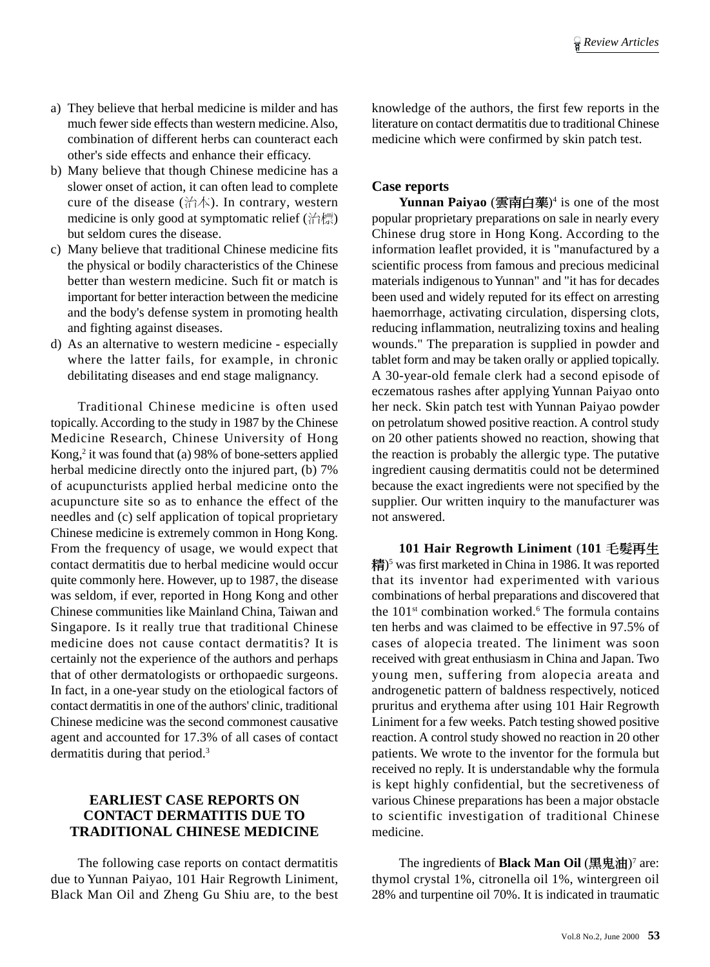- a) They believe that herbal medicine is milder and has much fewer side effects than western medicine. Also, combination of different herbs can counteract each other's side effects and enhance their efficacy.
- b) Many believe that though Chinese medicine has a slower onset of action, it can often lead to complete cure of the disease (治本). In contrary, western medicine is only good at symptomatic relief (治標) but seldom cures the disease.
- c) Many believe that traditional Chinese medicine fits the physical or bodily characteristics of the Chinese better than western medicine. Such fit or match is important for better interaction between the medicine and the body's defense system in promoting health and fighting against diseases.
- d) As an alternative to western medicine especially where the latter fails, for example, in chronic debilitating diseases and end stage malignancy.

Traditional Chinese medicine is often used topically. According to the study in 1987 by the Chinese Medicine Research, Chinese University of Hong Kong,<sup>2</sup> it was found that (a) 98% of bone-setters applied herbal medicine directly onto the injured part, (b) 7% of acupuncturists applied herbal medicine onto the acupuncture site so as to enhance the effect of the needles and (c) self application of topical proprietary Chinese medicine is extremely common in Hong Kong. From the frequency of usage, we would expect that contact dermatitis due to herbal medicine would occur quite commonly here. However, up to 1987, the disease was seldom, if ever, reported in Hong Kong and other Chinese communities like Mainland China, Taiwan and Singapore. Is it really true that traditional Chinese medicine does not cause contact dermatitis? It is certainly not the experience of the authors and perhaps that of other dermatologists or orthopaedic surgeons. In fact, in a one-year study on the etiological factors of contact dermatitis in one of the authors' clinic, traditional Chinese medicine was the second commonest causative agent and accounted for 17.3% of all cases of contact dermatitis during that period.<sup>3</sup>

# **EARLIEST CASE REPORTS ON CONTACT DERMATITIS DUE TO TRADITIONAL CHINESE MEDICINE**

The following case reports on contact dermatitis due to Yunnan Paiyao, 101 Hair Regrowth Liniment, Black Man Oil and Zheng Gu Shiu are, to the best knowledge of the authors, the first few reports in the literature on contact dermatitis due to traditional Chinese medicine which were confirmed by skin patch test.

#### **Case reports**

**Yunnan Paiyao** (雲南白藥)4 is one of the most popular proprietary preparations on sale in nearly every Chinese drug store in Hong Kong. According to the information leaflet provided, it is "manufactured by a scientific process from famous and precious medicinal materials indigenous to Yunnan" and "it has for decades been used and widely reputed for its effect on arresting haemorrhage, activating circulation, dispersing clots, reducing inflammation, neutralizing toxins and healing wounds." The preparation is supplied in powder and tablet form and may be taken orally or applied topically. A 30-year-old female clerk had a second episode of eczematous rashes after applying Yunnan Paiyao onto her neck. Skin patch test with Yunnan Paiyao powder on petrolatum showed positive reaction. A control study on 20 other patients showed no reaction, showing that the reaction is probably the allergic type. The putative ingredient causing dermatitis could not be determined because the exact ingredients were not specified by the supplier. Our written inquiry to the manufacturer was not answered.

**101 Hair Regrowth Liniment** (**101** 毛髮再生 精)5 was first marketed in China in 1986. It was reported that its inventor had experimented with various combinations of herbal preparations and discovered that the 101<sup>st</sup> combination worked.<sup>6</sup> The formula contains ten herbs and was claimed to be effective in 97.5% of cases of alopecia treated. The liniment was soon received with great enthusiasm in China and Japan. Two young men, suffering from alopecia areata and androgenetic pattern of baldness respectively, noticed pruritus and erythema after using 101 Hair Regrowth Liniment for a few weeks. Patch testing showed positive reaction. A control study showed no reaction in 20 other patients. We wrote to the inventor for the formula but received no reply. It is understandable why the formula is kept highly confidential, but the secretiveness of various Chinese preparations has been a major obstacle to scientific investigation of traditional Chinese medicine.

The ingredients of **Black Man Oil** (黑鬼油)<sup>7</sup> are: thymol crystal 1%, citronella oil 1%, wintergreen oil 28% and turpentine oil 70%. It is indicated in traumatic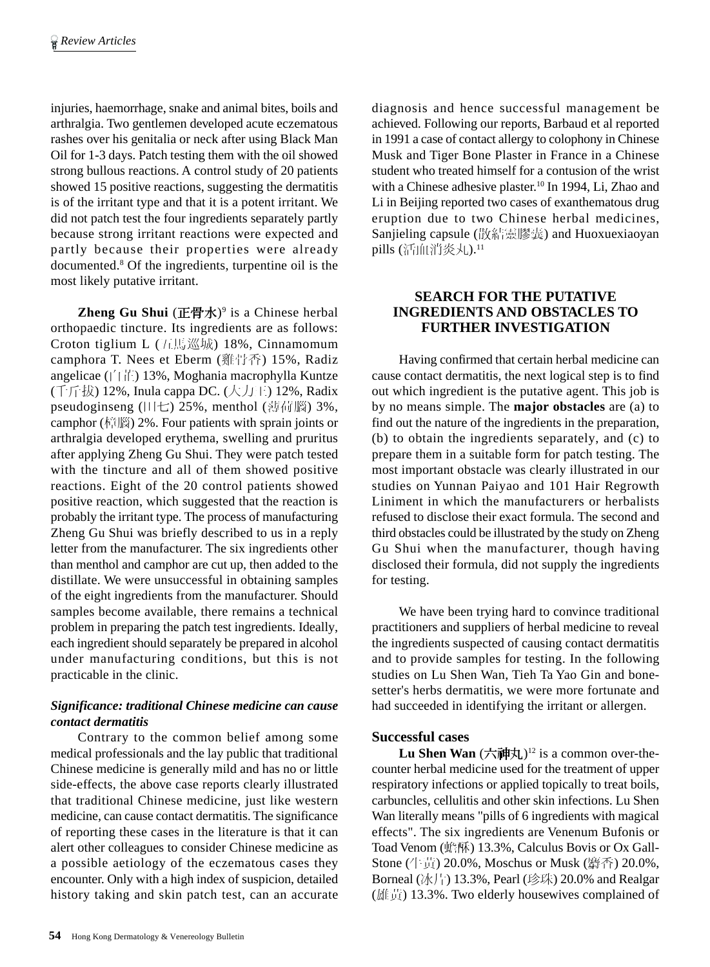injuries, haemorrhage, snake and animal bites, boils and arthralgia. Two gentlemen developed acute eczematous rashes over his genitalia or neck after using Black Man Oil for 1-3 days. Patch testing them with the oil showed strong bullous reactions. A control study of 20 patients showed 15 positive reactions, suggesting the dermatitis is of the irritant type and that it is a potent irritant. We did not patch test the four ingredients separately partly because strong irritant reactions were expected and partly because their properties were already documented.8 Of the ingredients, turpentine oil is the most likely putative irritant.

**Zheng Gu Shui** (正骨水)<sup>9</sup> is a Chinese herbal orthopaedic tincture. Its ingredients are as follows: Croton tiglium L (五馬巡城) 18%, Cinnamomum camphora T. Nees et Eberm (雞骨香) 15%, Radiz angelicae (白芷) 13%, Moghania macrophylla Kuntze (千斤拔) 12%, Inula cappa DC. (大力王) 12%, Radix pseudoginseng (田七) 25%, menthol (薄荷腦) 3%, camphor (樟腦) 2%. Four patients with sprain joints or arthralgia developed erythema, swelling and pruritus after applying Zheng Gu Shui. They were patch tested with the tincture and all of them showed positive reactions. Eight of the 20 control patients showed positive reaction, which suggested that the reaction is probably the irritant type. The process of manufacturing Zheng Gu Shui was briefly described to us in a reply letter from the manufacturer. The six ingredients other than menthol and camphor are cut up, then added to the distillate. We were unsuccessful in obtaining samples of the eight ingredients from the manufacturer. Should samples become available, there remains a technical problem in preparing the patch test ingredients. Ideally, each ingredient should separately be prepared in alcohol under manufacturing conditions, but this is not practicable in the clinic.

# *Significance: traditional Chinese medicine can cause contact dermatitis*

Contrary to the common belief among some medical professionals and the lay public that traditional Chinese medicine is generally mild and has no or little side-effects, the above case reports clearly illustrated that traditional Chinese medicine, just like western medicine, can cause contact dermatitis. The significance of reporting these cases in the literature is that it can alert other colleagues to consider Chinese medicine as a possible aetiology of the eczematous cases they encounter. Only with a high index of suspicion, detailed history taking and skin patch test, can an accurate

diagnosis and hence successful management be achieved. Following our reports, Barbaud et al reported in 1991 a case of contact allergy to colophony in Chinese Musk and Tiger Bone Plaster in France in a Chinese student who treated himself for a contusion of the wrist with a Chinese adhesive plaster.<sup>10</sup> In 1994, Li, Zhao and Li in Beijing reported two cases of exanthematous drug eruption due to two Chinese herbal medicines, Sanjieling capsule (散結靈膠囊) and Huoxuexiaoyan pills (活血消炎丸).<sup>11</sup>

# **SEARCH FOR THE PUTATIVE INGREDIENTS AND OBSTACLES TO FURTHER INVESTIGATION**

Having confirmed that certain herbal medicine can cause contact dermatitis, the next logical step is to find out which ingredient is the putative agent. This job is by no means simple. The **major obstacles** are (a) to find out the nature of the ingredients in the preparation, (b) to obtain the ingredients separately, and (c) to prepare them in a suitable form for patch testing. The most important obstacle was clearly illustrated in our studies on Yunnan Paiyao and 101 Hair Regrowth Liniment in which the manufacturers or herbalists refused to disclose their exact formula. The second and third obstacles could be illustrated by the study on Zheng Gu Shui when the manufacturer, though having disclosed their formula, did not supply the ingredients for testing.

We have been trying hard to convince traditional practitioners and suppliers of herbal medicine to reveal the ingredients suspected of causing contact dermatitis and to provide samples for testing. In the following studies on Lu Shen Wan, Tieh Ta Yao Gin and bonesetter's herbs dermatitis, we were more fortunate and had succeeded in identifying the irritant or allergen.

# **Successful cases**

Lu Shen Wan  $(\nabla \vec{m} \times \vec{b})^{12}$  is a common over-thecounter herbal medicine used for the treatment of upper respiratory infections or applied topically to treat boils, carbuncles, cellulitis and other skin infections. Lu Shen Wan literally means "pills of 6 ingredients with magical effects". The six ingredients are Venenum Bufonis or Toad Venom (蟾酥) 13.3%, Calculus Bovis or Ox Gall-Stone (牛黃) 20.0%, Moschus or Musk (麝香) 20.0%, Borneal (冰片) 13.3%, Pearl (珍珠) 20.0% and Realgar (雄黃) 13.3%. Two elderly housewives complained of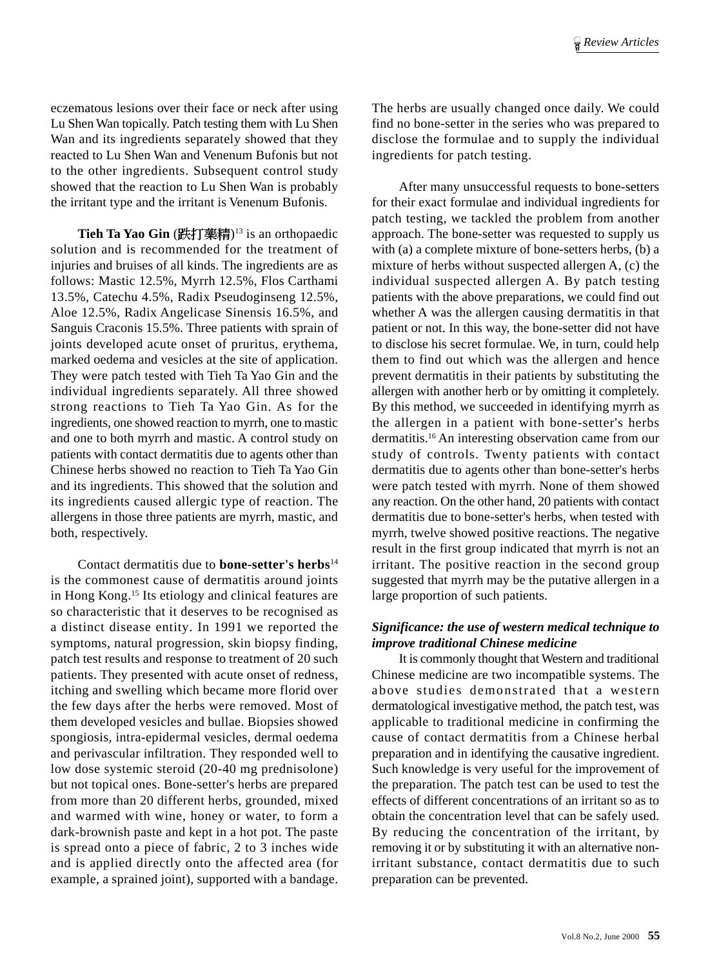eczematous lesions over their face or neck after using Lu Shen Wan topically. Patch testing them with Lu Shen Wan and its ingredients separately showed that they reacted to Lu Shen Wan and Venenum Bufonis but not to the other ingredients. Subsequent control study showed that the reaction to Lu Shen Wan is probably the irritant type and the irritant is Venenum Bufonis.

**Tieh Ta Yao Gin** (跌打藥精)13 is an orthopaedic solution and is recommended for the treatment of injuries and bruises of all kinds. The ingredients are as follows: Mastic 12.5%, Myrrh 12.5%, Flos Carthami 13.5%, Catechu 4.5%, Radix Pseudoginseng 12.5%, Aloe 12.5%, Radix Angelicase Sinensis 16.5%, and Sanguis Craconis 15.5%. Three patients with sprain of joints developed acute onset of pruritus, erythema, marked oedema and vesicles at the site of application. They were patch tested with Tieh Ta Yao Gin and the individual ingredients separately. All three showed strong reactions to Tieh Ta Yao Gin. As for the ingredients, one showed reaction to myrrh, one to mastic and one to both myrrh and mastic. A control study on patients with contact dermatitis due to agents other than Chinese herbs showed no reaction to Tieh Ta Yao Gin and its ingredients. This showed that the solution and its ingredients caused allergic type of reaction. The allergens in those three patients are myrrh, mastic, and both, respectively.

Contact dermatitis due to **bone-setter's herbs**<sup>14</sup> is the commonest cause of dermatitis around joints in Hong Kong.15 Its etiology and clinical features are so characteristic that it deserves to be recognised as a distinct disease entity. In 1991 we reported the symptoms, natural progression, skin biopsy finding, patch test results and response to treatment of 20 such patients. They presented with acute onset of redness, itching and swelling which became more florid over the few days after the herbs were removed. Most of them developed vesicles and bullae. Biopsies showed spongiosis, intra-epidermal vesicles, dermal oedema and perivascular infiltration. They responded well to low dose systemic steroid (20-40 mg prednisolone) but not topical ones. Bone-setter's herbs are prepared from more than 20 different herbs, grounded, mixed and warmed with wine, honey or water, to form a dark-brownish paste and kept in a hot pot. The paste is spread onto a piece of fabric, 2 to 3 inches wide and is applied directly onto the affected area (for example, a sprained joint), supported with a bandage.

The herbs are usually changed once daily. We could find no bone-setter in the series who was prepared to disclose the formulae and to supply the individual ingredients for patch testing.

After many unsuccessful requests to bone-setters for their exact formulae and individual ingredients for patch testing, we tackled the problem from another approach. The bone-setter was requested to supply us with (a) a complete mixture of bone-setters herbs, (b) a mixture of herbs without suspected allergen A, (c) the individual suspected allergen A. By patch testing patients with the above preparations, we could find out whether A was the allergen causing dermatitis in that patient or not. In this way, the bone-setter did not have to disclose his secret formulae. We, in turn, could help them to find out which was the allergen and hence prevent dermatitis in their patients by substituting the allergen with another herb or by omitting it completely. By this method, we succeeded in identifying myrrh as the allergen in a patient with bone-setter's herbs dermatitis.16 An interesting observation came from our study of controls. Twenty patients with contact dermatitis due to agents other than bone-setter's herbs were patch tested with myrrh. None of them showed any reaction. On the other hand, 20 patients with contact dermatitis due to bone-setter's herbs, when tested with myrrh, twelve showed positive reactions. The negative result in the first group indicated that myrrh is not an irritant. The positive reaction in the second group suggested that myrrh may be the putative allergen in a large proportion of such patients.

#### *Significance: the use of western medical technique to improve traditional Chinese medicine*

It is commonly thought that Western and traditional Chinese medicine are two incompatible systems. The above studies demonstrated that a western dermatological investigative method, the patch test, was applicable to traditional medicine in confirming the cause of contact dermatitis from a Chinese herbal preparation and in identifying the causative ingredient. Such knowledge is very useful for the improvement of the preparation. The patch test can be used to test the effects of different concentrations of an irritant so as to obtain the concentration level that can be safely used. By reducing the concentration of the irritant, by removing it or by substituting it with an alternative nonirritant substance, contact dermatitis due to such preparation can be prevented.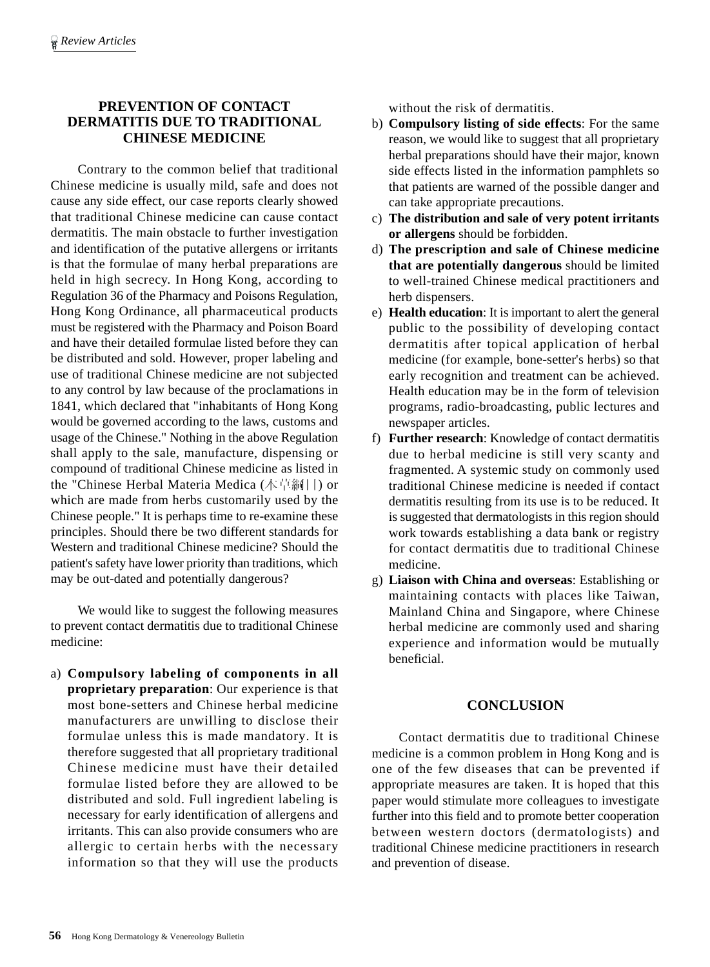# **PREVENTION OF CONTACT DERMATITIS DUE TO TRADITIONAL CHINESE MEDICINE**

Contrary to the common belief that traditional Chinese medicine is usually mild, safe and does not cause any side effect, our case reports clearly showed that traditional Chinese medicine can cause contact dermatitis. The main obstacle to further investigation and identification of the putative allergens or irritants is that the formulae of many herbal preparations are held in high secrecy. In Hong Kong, according to Regulation 36 of the Pharmacy and Poisons Regulation, Hong Kong Ordinance, all pharmaceutical products must be registered with the Pharmacy and Poison Board and have their detailed formulae listed before they can be distributed and sold. However, proper labeling and use of traditional Chinese medicine are not subjected to any control by law because of the proclamations in 1841, which declared that "inhabitants of Hong Kong would be governed according to the laws, customs and usage of the Chinese." Nothing in the above Regulation shall apply to the sale, manufacture, dispensing or compound of traditional Chinese medicine as listed in the "Chinese Herbal Materia Medica (本草綱目) or which are made from herbs customarily used by the Chinese people." It is perhaps time to re-examine these principles. Should there be two different standards for Western and traditional Chinese medicine? Should the patient's safety have lower priority than traditions, which may be out-dated and potentially dangerous?

We would like to suggest the following measures to prevent contact dermatitis due to traditional Chinese medicine:

a) **Compulsory labeling of components in all proprietary preparation**: Our experience is that most bone-setters and Chinese herbal medicine manufacturers are unwilling to disclose their formulae unless this is made mandatory. It is therefore suggested that all proprietary traditional Chinese medicine must have their detailed formulae listed before they are allowed to be distributed and sold. Full ingredient labeling is necessary for early identification of allergens and irritants. This can also provide consumers who are allergic to certain herbs with the necessary information so that they will use the products

without the risk of dermatitis.

- b) **Compulsory listing of side effects**: For the same reason, we would like to suggest that all proprietary herbal preparations should have their major, known side effects listed in the information pamphlets so that patients are warned of the possible danger and can take appropriate precautions.
- c) **The distribution and sale of very potent irritants or allergens** should be forbidden.
- d) **The prescription and sale of Chinese medicine that are potentially dangerous** should be limited to well-trained Chinese medical practitioners and herb dispensers.
- e) **Health education**: It is important to alert the general public to the possibility of developing contact dermatitis after topical application of herbal medicine (for example, bone-setter's herbs) so that early recognition and treatment can be achieved. Health education may be in the form of television programs, radio-broadcasting, public lectures and newspaper articles.
- f) **Further research**: Knowledge of contact dermatitis due to herbal medicine is still very scanty and fragmented. A systemic study on commonly used traditional Chinese medicine is needed if contact dermatitis resulting from its use is to be reduced. It is suggested that dermatologists in this region should work towards establishing a data bank or registry for contact dermatitis due to traditional Chinese medicine.
- g) **Liaison with China and overseas**: Establishing or maintaining contacts with places like Taiwan, Mainland China and Singapore, where Chinese herbal medicine are commonly used and sharing experience and information would be mutually beneficial.

# **CONCLUSION**

Contact dermatitis due to traditional Chinese medicine is a common problem in Hong Kong and is one of the few diseases that can be prevented if appropriate measures are taken. It is hoped that this paper would stimulate more colleagues to investigate further into this field and to promote better cooperation between western doctors (dermatologists) and traditional Chinese medicine practitioners in research and prevention of disease.